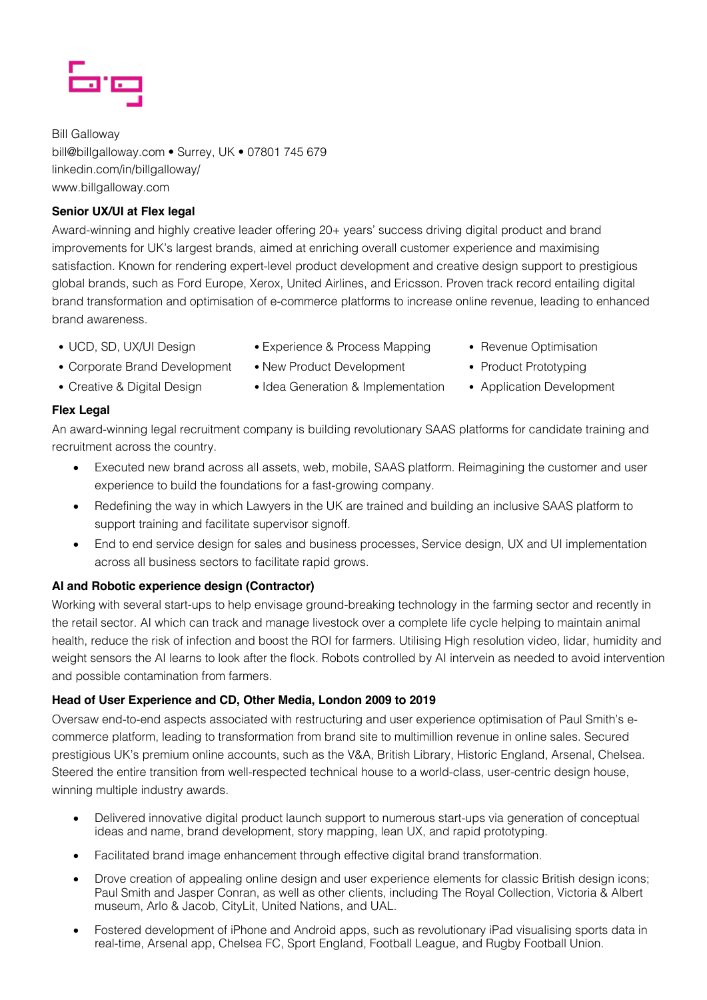

Bill Galloway bill@billgalloway.com • Surrey, UK • 07801 745 679 linkedin.com/in/billgalloway/ www.billgalloway.com

# **Senior UX/UI at Flex legal**

Award-winning and highly creative leader offering 20+ years' success driving digital product and brand improvements for UK's largest brands, aimed at enriching overall customer experience and maximising satisfaction. Known for rendering expert-level product development and creative design support to prestigious global brands, such as Ford Europe, Xerox, United Airlines, and Ericsson. Proven track record entailing digital brand transformation and optimisation of e-commerce platforms to increase online revenue, leading to enhanced brand awareness.

• UCD, SD, UX/UI Design

• Creative & Digital Design

• Experience & Process Mapping

• New Product Development

• Revenue Optimisation

- Corporate Brand Development
- Idea Generation & Implementation
- Product Prototyping
- Application Development

# **Flex Legal**

An award-winning legal recruitment company is building revolutionary SAAS platforms for candidate training and recruitment across the country.

- Executed new brand across all assets, web, mobile, SAAS platform. Reimagining the customer and user experience to build the foundations for a fast-growing company.
- Redefining the way in which Lawyers in the UK are trained and building an inclusive SAAS platform to support training and facilitate supervisor signoff.
- End to end service design for sales and business processes, Service design, UX and UI implementation across all business sectors to facilitate rapid grows.

# **AI and Robotic experience design (Contractor)**

Working with several start-ups to help envisage ground-breaking technology in the farming sector and recently in the retail sector. AI which can track and manage livestock over a complete life cycle helping to maintain animal health, reduce the risk of infection and boost the ROI for farmers. Utilising High resolution video, lidar, humidity and weight sensors the AI learns to look after the flock. Robots controlled by AI intervein as needed to avoid intervention and possible contamination from farmers.

## **Head of User Experience and CD, Other Media, London 2009 to 2019**

Oversaw end-to-end aspects associated with restructuring and user experience optimisation of Paul Smith's ecommerce platform, leading to transformation from brand site to multimillion revenue in online sales. Secured prestigious UK's premium online accounts, such as the V&A, British Library, Historic England, Arsenal, Chelsea. Steered the entire transition from well-respected technical house to a world-class, user-centric design house, winning multiple industry awards.

- Delivered innovative digital product launch support to numerous start-ups via generation of conceptual ideas and name, brand development, story mapping, lean UX, and rapid prototyping.
- Facilitated brand image enhancement through effective digital brand transformation.
- Drove creation of appealing online design and user experience elements for classic British design icons; Paul Smith and Jasper Conran, as well as other clients, including The Royal Collection, Victoria & Albert museum, Arlo & Jacob, CityLit, United Nations, and UAL.
- Fostered development of iPhone and Android apps, such as revolutionary iPad visualising sports data in real-time, Arsenal app, Chelsea FC, Sport England, Football League, and Rugby Football Union.